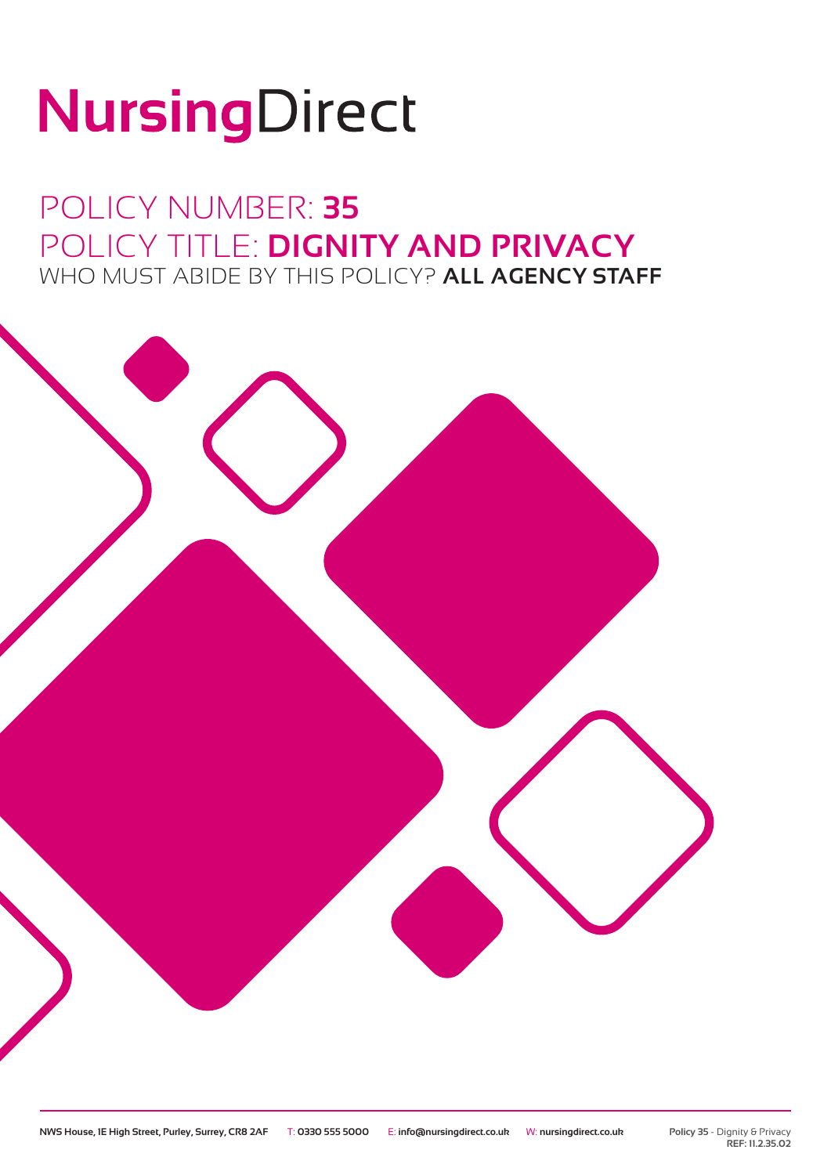# NursingDirect

## POLICY NUMBER: **35** POLICY TITLE: **DIGNITY AND PRIVACY** WHO MUST ABIDE BY THIS POLICY? **ALL AGENCY STAFF**